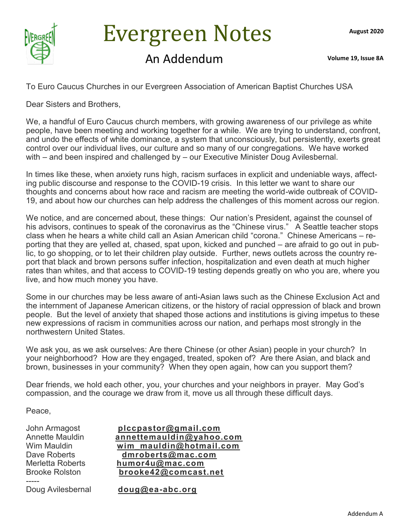

# Evergreen Notes

### An Addendum **Volume 19, Issue 8A**

To Euro Caucus Churches in our Evergreen Association of American Baptist Churches USA

Dear Sisters and Brothers,

We, a handful of Euro Caucus church members, with growing awareness of our privilege as white people, have been meeting and working together for a while. We are trying to understand, confront, and undo the effects of white dominance, a system that unconsciously, but persistently, exerts great control over our individual lives, our culture and so many of our congregations. We have worked with – and been inspired and challenged by – our Executive Minister Doug Avilesbernal.

In times like these, when anxiety runs high, racism surfaces in explicit and undeniable ways, affecting public discourse and response to the COVID-19 crisis. In this letter we want to share our thoughts and concerns about how race and racism are meeting the world-wide outbreak of COVID-19, and about how our churches can help address the challenges of this moment across our region.

We notice, and are concerned about, these things: Our nation's President, against the counsel of his advisors, continues to speak of the coronavirus as the "Chinese virus." A Seattle teacher stops class when he hears a white child call an Asian American child "corona." Chinese Americans – reporting that they are yelled at, chased, spat upon, kicked and punched – are afraid to go out in public, to go shopping, or to let their children play outside. Further, news outlets across the country report that black and brown persons suffer infection, hospitalization and even death at much higher rates than whites, and that access to COVID-19 testing depends greatly on who you are, where you live, and how much money you have.

Some in our churches may be less aware of anti-Asian laws such as the Chinese Exclusion Act and the internment of Japanese American citizens, or the history of racial oppression of black and brown people. But the level of anxiety that shaped those actions and institutions is giving impetus to these new expressions of racism in communities across our nation, and perhaps most strongly in the northwestern United States.

We ask you, as we ask ourselves: Are there Chinese (or other Asian) people in your church? In your neighborhood? How are they engaged, treated, spoken of? Are there Asian, and black and brown, businesses in your community? When they open again, how can you support them?

Dear friends, we hold each other, you, your churches and your neighbors in prayer. May God's compassion, and the courage we draw from it, move us all through these difficult days.

Peace,

-----

John Armagost **[plccpastor@gmail.com](mailto:plccpastor@gmail.com)** Annette Mauldin **[annettemauldin@yahoo.com](mailto:annettemauldin@yahoo.com)** Wim Mauldin **wim mauldin@hotmail.com** Dave Roberts **[dmroberts@mac.com](mailto:dmroberts@mac.com)** Merletta Roberts **[humor4u@mac.com](mailto:humor4u@mac.com)** [brooke42@comcast.net](mailto:brooke42@comcast.net)

Doug Avilesbernal **[doug@ea](mailto:doug@ea-abc.org)-abc.org**